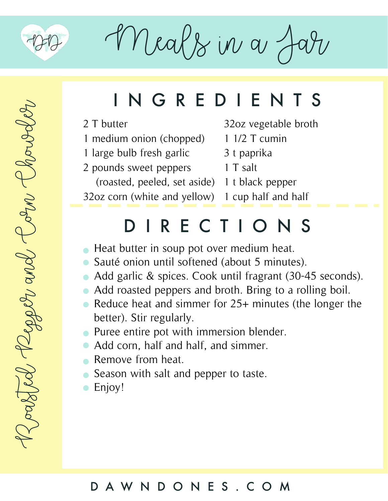

 $M$ eals in a  $A$ 

# Roasted Reper and Corn Chowder Zoattel Reper and Corn Chowals

# INGREDIENTS

2 T butter

- 1 medium onion (chopped)
- 1 large bulb fresh garlic
- 2 pounds sweet peppers

(roasted, peeled, set aside) 1 t black pepper

32oz corn (white and yellow) 1 cup half and half

- 32oz vegetable broth
- 1 1/2 T cumin
- 3 t paprika
- 1 T salt
	-
	-

## DIRECTIONS

- Heat butter in soup pot over medium heat.
- Sauté onion until softened (about 5 minutes).
- Add garlic & spices. Cook until fragrant (30-45 seconds).
- Add roasted peppers and broth. Bring to a rolling boil.
- Reduce heat and simmer for 25+ minutes (the longer the better). Stir regularly.
- Puree entire pot with immersion blender.
- Add corn, half and half, and simmer.
- **Remove from heat.**
- Season with salt and pepper to taste.
- Enjoy!

### DAWNDONES.COM